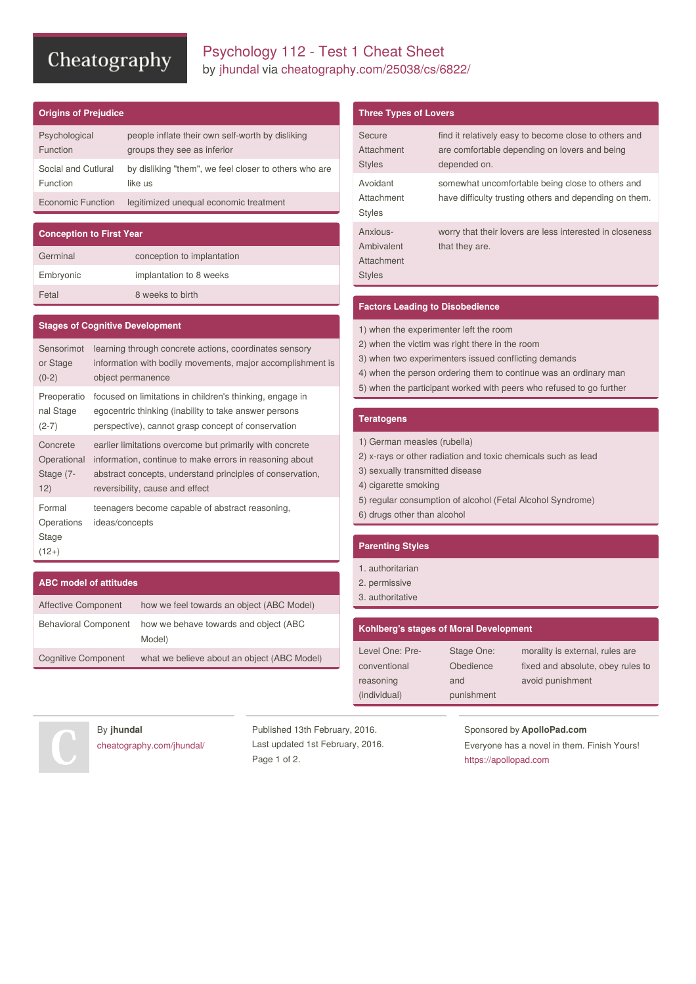# Cheatography

## Psychology 112 - Test 1 Cheat Sheet by [jhundal](http://www.cheatography.com/jhundal/) via [cheatography.com/25038/cs/6822/](http://www.cheatography.com/jhundal/cheat-sheets/psychology-112-test-1)

## **Origins of Prejudice**

| Psychological       | people inflate their own self-worth by disliking      |
|---------------------|-------------------------------------------------------|
| <b>Function</b>     | groups they see as inferior                           |
| Social and Cutlural | by disliking "them", we feel closer to others who are |
| <b>Function</b>     | like us                                               |
| Economic Function   | legitimized unequal economic treatment                |

## **Conception to First Year** Germinal conception to implantation Embryonic implantation to 8 weeks Fetal 8 weeks to birth

#### **Stages of Cognitive Development**

| Sensorimot                               | learning through concrete actions, coordinates sensory            |
|------------------------------------------|-------------------------------------------------------------------|
| or Stage                                 | information with bodily movements, major accomplishment is        |
| $(0-2)$                                  | object permanence                                                 |
| Preoperatio                              | focused on limitations in children's thinking, engage in          |
| nal Stage                                | egocentric thinking (inability to take answer persons             |
| $(2-7)$                                  | perspective), cannot grasp concept of conservation                |
| Concrete                                 | earlier limitations overcome but primarily with concrete          |
| Operational                              | information, continue to make errors in reasoning about           |
| Stage (7-                                | abstract concepts, understand principles of conservation,         |
| 12)                                      | reversibility, cause and effect                                   |
| Formal<br>Operations<br>Stage<br>$(12+)$ | teenagers become capable of abstract reasoning,<br>ideas/concepts |

#### **ABC model of attitudes**

| Affective Component         | how we feel towards an object (ABC Model)       |
|-----------------------------|-------------------------------------------------|
| <b>Behavioral Component</b> | how we behave towards and object (ABC<br>Model) |
| <b>Cognitive Component</b>  | what we believe about an object (ABC Model)     |

#### **Three Types of Lovers**

| Secure<br>Attachment<br><b>Styles</b>                 | find it relatively easy to become close to others and<br>are comfortable depending on lovers and being<br>depended on. |
|-------------------------------------------------------|------------------------------------------------------------------------------------------------------------------------|
| Avoidant<br>Attachment<br><b>Styles</b>               | somewhat uncomfortable being close to others and<br>have difficulty trusting others and depending on them.             |
| Anxious-<br>Ambivalent<br>Attachment<br><b>Styles</b> | worry that their lovers are less interested in closeness<br>that they are.                                             |

### **Factors Leading to Disobedience**

- 1) when the experimenter left the room
- 2) when the victim was right there in the room
- 3) when two experimenters issued conflicting demands
- 4) when the person ordering them to continue was an ordinary man
- 5) when the participant worked with peers who refused to go further

#### **Teratogens**

1) German measles (rubella)

- 2) x-rays or other radiation and toxic chemicals such as lead
- 3) sexually transmitted disease
- 4) cigarette smoking
- 5) regular consumption of alcohol (Fetal Alcohol Syndrome)
- 6) drugs other than alcohol

#### **Parenting Styles**

- 1. authoritarian
- 2. permissive
- 3. authoritative

### **Kohlberg's stages of Moral Development**

| Level One: Pre- | Stage One: | morality is external, rules are   |
|-----------------|------------|-----------------------------------|
| conventional    | Obedience  | fixed and absolute, obey rules to |
| reasoning       | and        | avoid punishment                  |
| (individual)    | punishment |                                   |



By **jhundal** [cheatography.com/jhundal/](http://www.cheatography.com/jhundal/)

Published 13th February, 2016. Last updated 1st February, 2016. Page 1 of 2.

### Sponsored by **ApolloPad.com**

Everyone has a novel in them. Finish Yours! <https://apollopad.com>